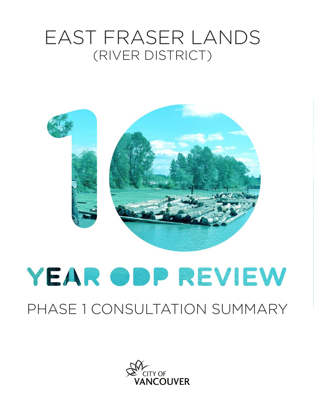## EAST FRASER LANDS (RIVER DISTRICT)



# YEAR ODP REVIEW

### PHASE 1 CONSULTATION SUMMARY

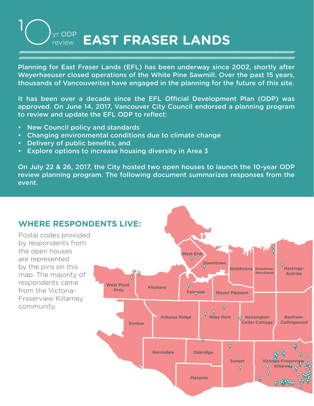#### vr ODP **EAST FRASER LANDS** review

Planning for East Fraser Lands (EFL) has been underway since 2002, shortly after Weyerhaeuser closed operations of the White Pine Sawmill. Over the past 15 years, thousands of Vancouverites have engaged in the planning for the future of this site.

It has been over a decade since the EFL Official Development Plan (ODP) was approved. On June 14, 2017, Vancouver City Council endorsed a planning program to review and update the EFL ODP to reflect:

- New Council policy and standards
- Changing environmental conditions due to climate change
- Delivery of public benefits, and
- Explore options to increase housing diversity in Area 3

On July 22 & 26, 2017, the City hosted two open houses to launch the 10-year ODP review planning program. The following document summarizes responses from the event.

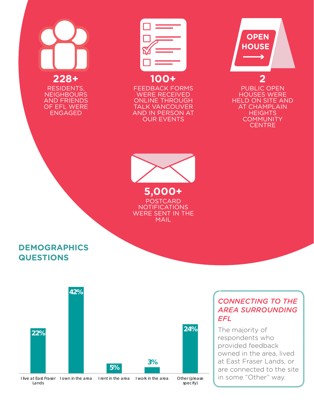# **228+**

RESIDENTS, **NEIGHBOURS** AND FRIENDS OF EFL WERE ENGAGED



FEEDBACK FORMS WERE RECEIVED ONLINE THROUGH TALK VANCOUVER AND IN PERSON AT OUR EVENTS

 **OPEN HOUSE**

PUBLIC OPEN HOUSES WERE HELD ON SITE AND AT CHAMPLAIN **HEIGHTS COMMUNITY CENTRE** 

**2**



**5,000+ POSTCARD** NOTIFICATIONS WERE SENT IN THE MAIL

#### **DEMOGRAPHICS QUESTIONS**



#### *CONNECTING TO THE AREA SURROUNDING EFL*

The majority of respondents who provided feedback owned in the area, lived at East Fraser Lands, or are connected to the site in some "Other" way.

Lands

specify)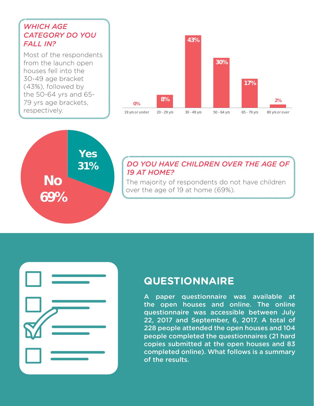#### *WHICH AGE CATEGORY DO YOU FALL IN?*

Most of the respondents from the launch open houses fell into the 30-49 age bracket (43%), followed by the 50-64 yrs and 65- 79 yrs age brackets, respectively.





#### *DO YOU HAVE CHILDREN OVER THE AGE OF 19 AT HOME?*

The majority of respondents do not have children over the age of 19 at home (69%).



#### **QUESTIONNAIRE**

A paper questionnaire was available at the open houses and online. The online questionnaire was accessible between July 22, 2017 and September, 6, 2017. A total of 228 people attended the open houses and 104 people completed the questionnaires (21 hard copies submitted at the open houses and 83 completed online). What follows is a summary of the results.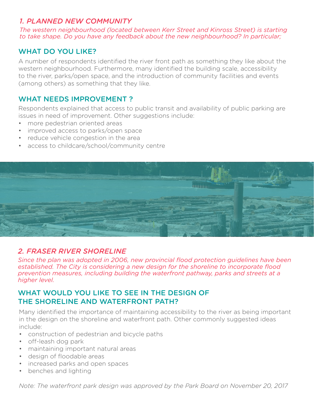#### *1. PLANNED NEW COMMUNITY*

*The western neighbourhood (located between Kerr Street and Kinross Street) is starting to take shape. Do you have any feedback about the new neighbourhood? In particular;*

#### WHAT DO YOU LIKE?

A number of respondents identified the river front path as something they like about the western neighbourhood. Furthermore, many identified the building scale, accessibility to the river, parks/open space, and the introduction of community facilities and events (among others) as something that they like.

#### WHAT NEEDS IMPROVEMENT ?

Respondents explained that access to public transit and availability of public parking are issues in need of improvement. Other suggestions include:

- more pedestrian oriented areas
- improved access to parks/open space
- reduce vehicle congestion in the area
- access to childcare/school/community centre



#### *2. FRASER RIVER SHORELINE*

*Since the plan was adopted in 2006, new provincial flood protection guidelines have been established. The City is considering a new design for the shoreline to incorporate flood prevention measures, including building the waterfront pathway, parks and streets at a higher level.*

#### WHAT WOULD YOU LIKE TO SEE IN THE DESIGN OF THE SHORELINE AND WATERFRONT PATH?

Many identified the importance of maintaining accessibility to the river as being important in the design on the shoreline and waterfront path. Other commonly suggested ideas include:

- construction of pedestrian and bicycle paths
- off-leash dog park
- maintaining important natural areas
- design of floodable areas
- increased parks and open spaces
- benches and lighting

*Note: The waterfront park design was approved by the Park Board on November 20, 2017*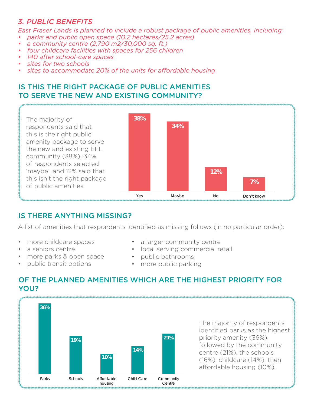#### *3. PUBLIC BENEFITS*

*East Fraser Lands is planned to include a robust package of public amenities, including:*

- *• parks and public open space (10.2 hectares/25.2 acres)*
- *• a community centre (2,790 m2/30,000 sq. ft.)*
- *• four childcare facilities with spaces for 256 children*
- *• 140 after school-care spaces*
- *• sites for two schools*
- *• sites to accommodate 20% of the units for affordable housing*

#### IS THIS THE RIGHT PACKAGE OF PUBLIC AMENITIES TO SERVE THE NEW AND EXISTING COMMUNITY?



#### IS THERE ANYTHING MISSING?

A list of amenities that respondents identified as missing follows (in no particular order):

- more childcare spaces
- a seniors centre
- more parks & open space
- public transit options
- a larger community centre
- local serving commercial retail
- public bathrooms
- more public parking

#### OF THE PLANNED AMENITIES WHICH ARE THE HIGHEST PRIORITY FOR YOU?



The majority of respondents identified parks as the highest priority amenity (36%), followed by the community centre (21%), the schools (16%), childcare (14%), then affordable housing (10%).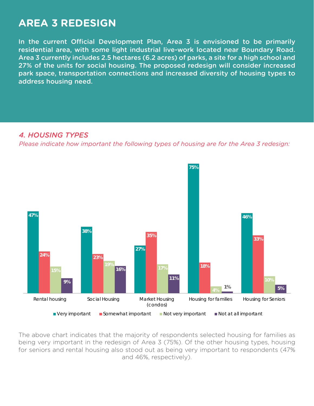#### **AREA 3 REDESIGN**

In the current Official Development Plan, Area 3 is envisioned to be primarily residential area, with some light industrial live-work located near Boundary Road. Area 3 currently includes 2.5 hectares (6.2 acres) of parks, a site for a high school and 27% of the units for social housing. The proposed redesign will consider increased park space, transportation connections and increased diversity of housing types to address housing need.

#### *4. HOUSING TYPES*

*Please indicate how important the following types of housing are for the Area 3 redesign:*



The above chart indicates that the majority of respondents selected housing for families as being very important in the redesign of Area 3 (75%). Of the other housing types, housing for seniors and rental housing also stood out as being very important to respondents (47% and 46%, respectively).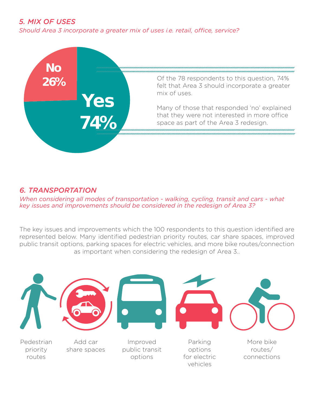#### *5. MIX OF USES*

*Should Area 3 incorporate a greater mix of uses i.e. retail, office, service?*



#### *6. TRANSPORTATION*

*When considering all modes of transportation - walking, cycling, transit and cars - what key issues and improvements should be considered in the redesign of Area 3?*

The key issues and improvements which the 100 respondents to this question identified are represented below. Many identified pedestrian priority routes, car share spaces, improved public transit options, parking spaces for electric vehicles, and more bike routes/connection as important when considering the redesign of Area 3..



vehicles